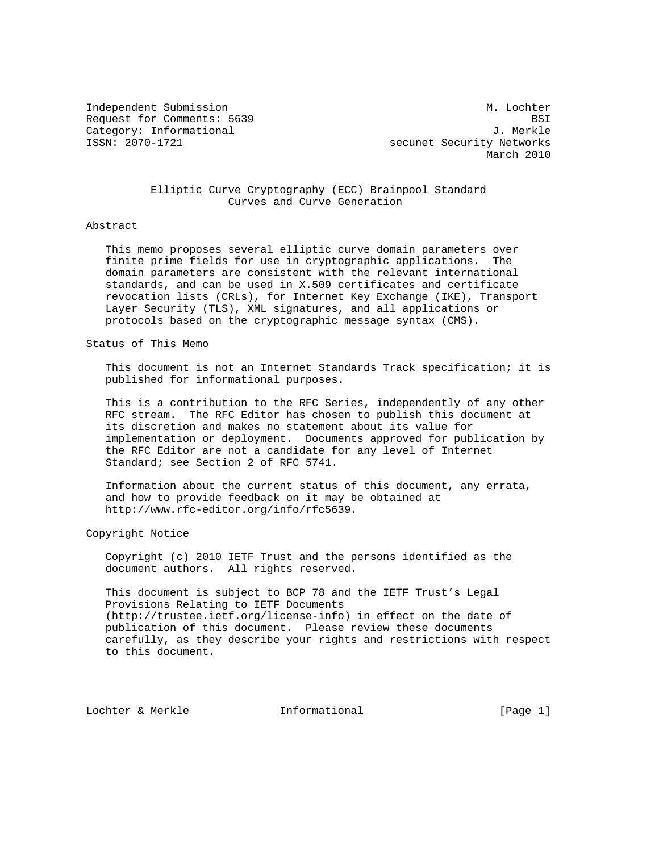Independent Submission M. Lochter M. Lochter Request for Comments: 5639 BSI Category: Informational J. Merkle<br>ISSN: 2070-1721 Secunet Security Networks

secunet Security Networks March 2010

## Elliptic Curve Cryptography (ECC) Brainpool Standard Curves and Curve Generation

#### Abstract

 This memo proposes several elliptic curve domain parameters over finite prime fields for use in cryptographic applications. The domain parameters are consistent with the relevant international standards, and can be used in X.509 certificates and certificate revocation lists (CRLs), for Internet Key Exchange (IKE), Transport Layer Security (TLS), XML signatures, and all applications or protocols based on the cryptographic message syntax (CMS).

#### Status of This Memo

 This document is not an Internet Standards Track specification; it is published for informational purposes.

 This is a contribution to the RFC Series, independently of any other RFC stream. The RFC Editor has chosen to publish this document at its discretion and makes no statement about its value for implementation or deployment. Documents approved for publication by the RFC Editor are not a candidate for any level of Internet Standard; see Section 2 of RFC 5741.

 Information about the current status of this document, any errata, and how to provide feedback on it may be obtained at http://www.rfc-editor.org/info/rfc5639.

#### Copyright Notice

 Copyright (c) 2010 IETF Trust and the persons identified as the document authors. All rights reserved.

 This document is subject to BCP 78 and the IETF Trust's Legal Provisions Relating to IETF Documents (http://trustee.ietf.org/license-info) in effect on the date of publication of this document. Please review these documents carefully, as they describe your rights and restrictions with respect to this document.

Lochter & Merkle Informational [Page 1]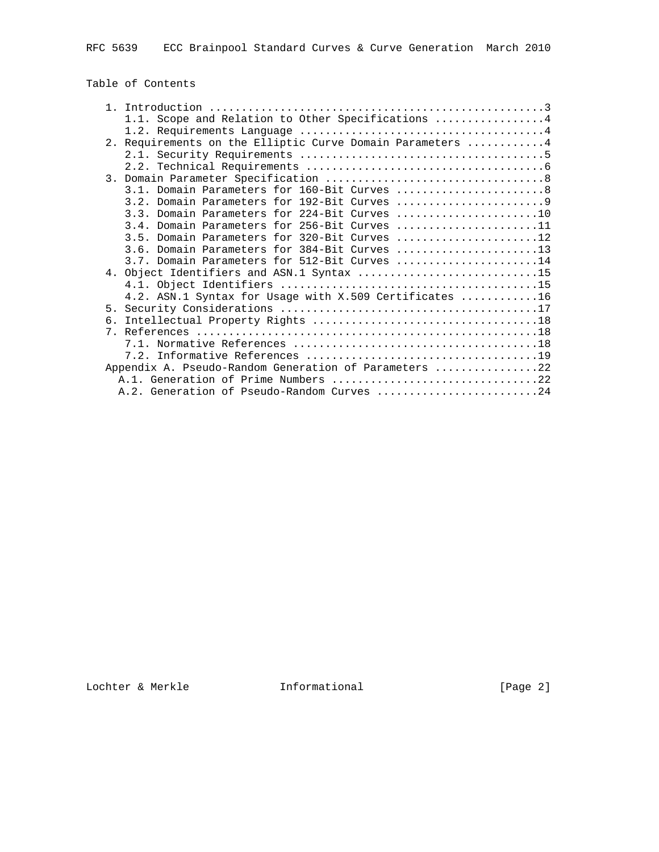Table of Contents

|    | 1.1. Scope and Relation to Other Specifications 4          |
|----|------------------------------------------------------------|
|    |                                                            |
|    | 2. Requirements on the Elliptic Curve Domain Parameters  4 |
|    |                                                            |
|    |                                                            |
|    |                                                            |
|    | 3.1. Domain Parameters for 160-Bit Curves 8                |
|    |                                                            |
|    | 3.3. Domain Parameters for 224-Bit Curves 10               |
|    | 3.4. Domain Parameters for 256-Bit Curves 11               |
|    | 3.5. Domain Parameters for 320-Bit Curves 12               |
|    |                                                            |
|    | 3.7. Domain Parameters for 512-Bit Curves 14               |
|    | 4. Object Identifiers and ASN.1 Syntax 15                  |
|    |                                                            |
|    | 4.2. ASN.1 Syntax for Usage with X.509 Certificates 16     |
|    |                                                            |
| б. |                                                            |
|    |                                                            |
|    |                                                            |
|    |                                                            |
|    | Appendix A. Pseudo-Random Generation of Parameters 22      |
|    | A.1. Generation of Prime Numbers 22                        |
|    | A.2. Generation of Pseudo-Random Curves 24                 |
|    |                                                            |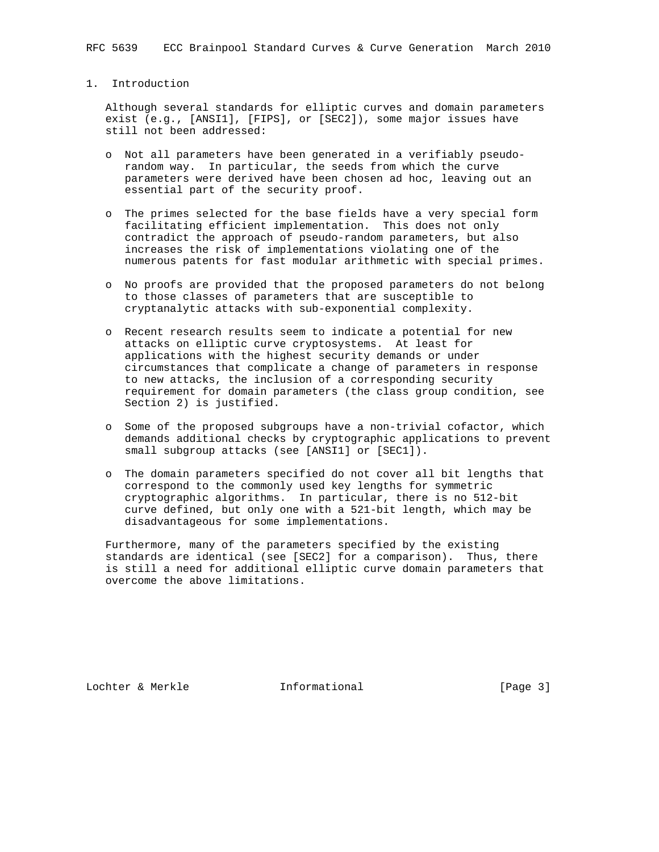## 1. Introduction

 Although several standards for elliptic curves and domain parameters exist (e.g., [ANSI1], [FIPS], or [SEC2]), some major issues have still not been addressed:

- o Not all parameters have been generated in a verifiably pseudo random way. In particular, the seeds from which the curve parameters were derived have been chosen ad hoc, leaving out an essential part of the security proof.
- o The primes selected for the base fields have a very special form facilitating efficient implementation. This does not only contradict the approach of pseudo-random parameters, but also increases the risk of implementations violating one of the numerous patents for fast modular arithmetic with special primes.
- o No proofs are provided that the proposed parameters do not belong to those classes of parameters that are susceptible to cryptanalytic attacks with sub-exponential complexity.
- o Recent research results seem to indicate a potential for new attacks on elliptic curve cryptosystems. At least for applications with the highest security demands or under circumstances that complicate a change of parameters in response to new attacks, the inclusion of a corresponding security requirement for domain parameters (the class group condition, see Section 2) is justified.
- o Some of the proposed subgroups have a non-trivial cofactor, which demands additional checks by cryptographic applications to prevent small subgroup attacks (see [ANSI1] or [SEC1]).
- o The domain parameters specified do not cover all bit lengths that correspond to the commonly used key lengths for symmetric cryptographic algorithms. In particular, there is no 512-bit curve defined, but only one with a 521-bit length, which may be disadvantageous for some implementations.

 Furthermore, many of the parameters specified by the existing standards are identical (see [SEC2] for a comparison). Thus, there is still a need for additional elliptic curve domain parameters that overcome the above limitations.

Lochter & Merkle **Informational** [Page 3]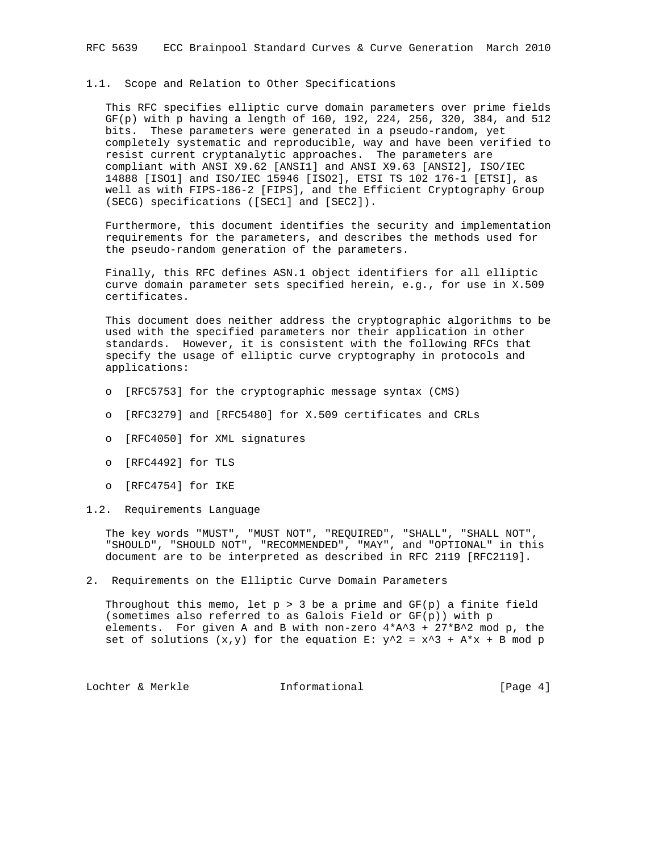#### 1.1. Scope and Relation to Other Specifications

 This RFC specifies elliptic curve domain parameters over prime fields GF(p) with p having a length of 160, 192, 224, 256, 320, 384, and 512 bits. These parameters were generated in a pseudo-random, yet completely systematic and reproducible, way and have been verified to resist current cryptanalytic approaches. The parameters are compliant with ANSI X9.62 [ANSI1] and ANSI X9.63 [ANSI2], ISO/IEC 14888 [ISO1] and ISO/IEC 15946 [ISO2], ETSI TS 102 176-1 [ETSI], as well as with FIPS-186-2 [FIPS], and the Efficient Cryptography Group (SECG) specifications ([SEC1] and [SEC2]).

 Furthermore, this document identifies the security and implementation requirements for the parameters, and describes the methods used for the pseudo-random generation of the parameters.

 Finally, this RFC defines ASN.1 object identifiers for all elliptic curve domain parameter sets specified herein, e.g., for use in X.509 certificates.

 This document does neither address the cryptographic algorithms to be used with the specified parameters nor their application in other standards. However, it is consistent with the following RFCs that specify the usage of elliptic curve cryptography in protocols and applications:

- o [RFC5753] for the cryptographic message syntax (CMS)
- o [RFC3279] and [RFC5480] for X.509 certificates and CRLs
- o [RFC4050] for XML signatures
- o [RFC4492] for TLS
- o [RFC4754] for IKE
- 1.2. Requirements Language

 The key words "MUST", "MUST NOT", "REQUIRED", "SHALL", "SHALL NOT", "SHOULD", "SHOULD NOT", "RECOMMENDED", "MAY", and "OPTIONAL" in this document are to be interpreted as described in RFC 2119 [RFC2119].

2. Requirements on the Elliptic Curve Domain Parameters

Throughout this memo, let  $p > 3$  be a prime and  $GF(p)$  a finite field (sometimes also referred to as Galois Field or GF(p)) with p elements. For given A and B with non-zero  $4*A^3 + 27*B^2$  mod p, the set of solutions  $(x,y)$  for the equation E:  $y^2 = x^3 + A*x + B \mod p$ 

Lochter & Merkle **Informational** [Page 4]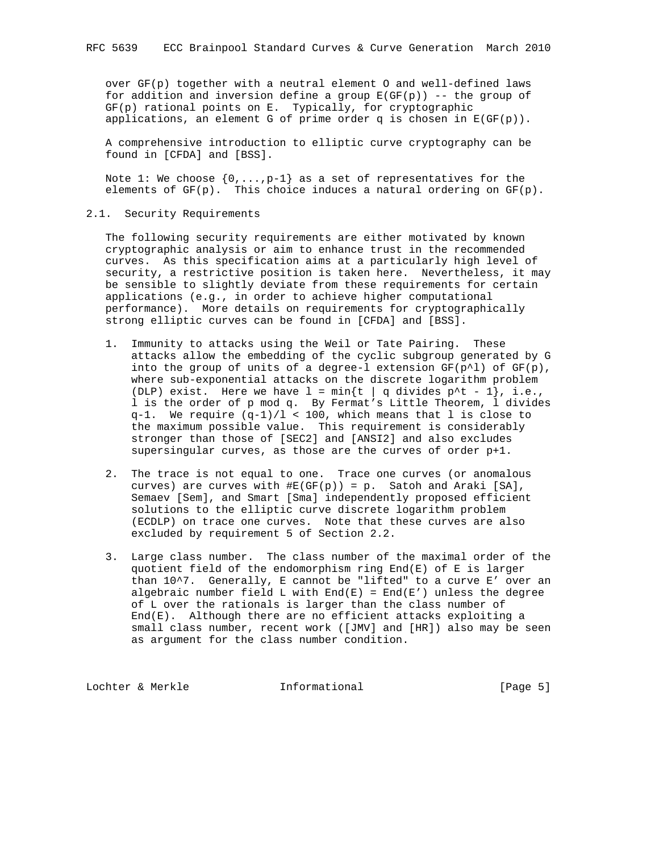over GF(p) together with a neutral element O and well-defined laws for addition and inversion define a group  $E(GF(p))$  -- the group of GF(p) rational points on E. Typically, for cryptographic applications, an element G of prime order q is chosen in  $E(GF(p))$ .

 A comprehensive introduction to elliptic curve cryptography can be found in [CFDA] and [BSS].

Note 1: We choose  $\{0,\ldots,p-1\}$  as a set of representatives for the elements of  $GF(p)$ . This choice induces a natural ordering on  $GF(p)$ .

### 2.1. Security Requirements

 The following security requirements are either motivated by known cryptographic analysis or aim to enhance trust in the recommended curves. As this specification aims at a particularly high level of security, a restrictive position is taken here. Nevertheless, it may be sensible to slightly deviate from these requirements for certain applications (e.g., in order to achieve higher computational performance). More details on requirements for cryptographically strong elliptic curves can be found in [CFDA] and [BSS].

- 1. Immunity to attacks using the Weil or Tate Pairing. These attacks allow the embedding of the cyclic subgroup generated by G into the group of units of a degree-1 extension  $GF(p^{\wedge}l)$  of  $GF(p)$ , where sub-exponential attacks on the discrete logarithm problem (DLP) exist. Here we have  $l = min\{t | q \text{ divides } p^t - 1\}$ , i.e., l is the order of p mod q. By Fermat's Little Theorem, l divides q-1. We require (q-1)/l < 100, which means that l is close to the maximum possible value. This requirement is considerably stronger than those of [SEC2] and [ANSI2] and also excludes supersingular curves, as those are the curves of order p+1.
	- 2. The trace is not equal to one. Trace one curves (or anomalous curves) are curves with  $#E(GF(p)) = p$ . Satoh and Araki [SA], Semaev [Sem], and Smart [Sma] independently proposed efficient solutions to the elliptic curve discrete logarithm problem (ECDLP) on trace one curves. Note that these curves are also excluded by requirement 5 of Section 2.2.
	- 3. Large class number. The class number of the maximal order of the quotient field of the endomorphism ring End(E) of E is larger than 10^7. Generally, E cannot be "lifted" to a curve E' over an algebraic number field L with  $End(E)$  = End(E') unless the degree of L over the rationals is larger than the class number of End(E). Although there are no efficient attacks exploiting a small class number, recent work ([JMV] and [HR]) also may be seen as argument for the class number condition.

Lochter & Merkle **Informational** [Page 5]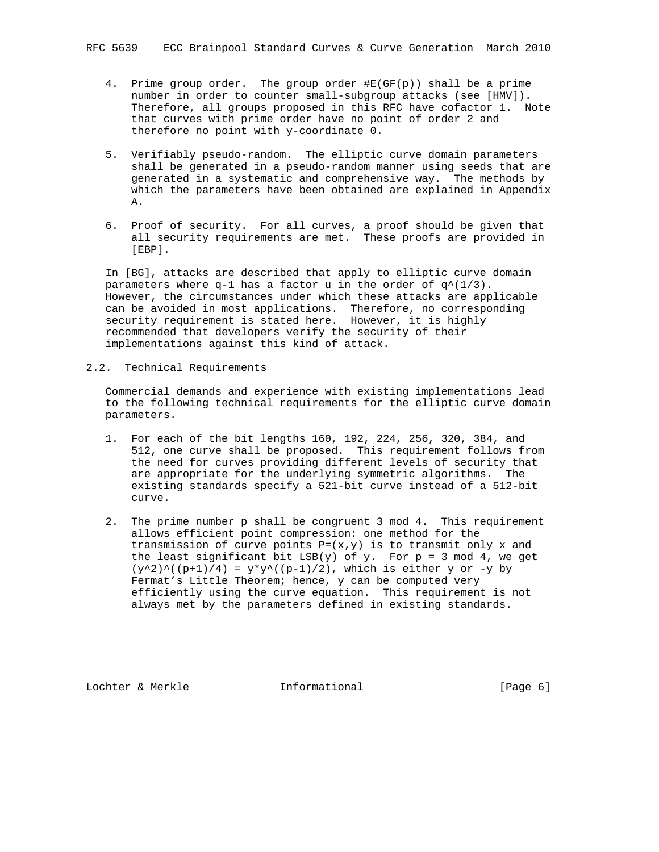- 4. Prime group order. The group order #E(GF(p)) shall be a prime number in order to counter small-subgroup attacks (see [HMV]). Therefore, all groups proposed in this RFC have cofactor 1. Note that curves with prime order have no point of order 2 and therefore no point with y-coordinate 0.
- 5. Verifiably pseudo-random. The elliptic curve domain parameters shall be generated in a pseudo-random manner using seeds that are generated in a systematic and comprehensive way. The methods by which the parameters have been obtained are explained in Appendix A.
- 6. Proof of security. For all curves, a proof should be given that all security requirements are met. These proofs are provided in [EBP].

 In [BG], attacks are described that apply to elliptic curve domain parameters where q-1 has a factor u in the order of  $q^*(1/3)$ . However, the circumstances under which these attacks are applicable can be avoided in most applications. Therefore, no corresponding security requirement is stated here. However, it is highly recommended that developers verify the security of their implementations against this kind of attack.

2.2. Technical Requirements

 Commercial demands and experience with existing implementations lead to the following technical requirements for the elliptic curve domain parameters.

- 1. For each of the bit lengths 160, 192, 224, 256, 320, 384, and 512, one curve shall be proposed. This requirement follows from the need for curves providing different levels of security that are appropriate for the underlying symmetric algorithms. The existing standards specify a 521-bit curve instead of a 512-bit curve.
- 2. The prime number p shall be congruent 3 mod 4. This requirement allows efficient point compression: one method for the transmission of curve points  $P=(x,y)$  is to transmit only x and the least significant bit  $LSB(y)$  of y. For  $p = 3 \mod 4$ , we get  $(y^2)^{\wedge}((p+1)/4) = y*y^{\wedge}((p-1)/2)$ , which is either y or -y by Fermat's Little Theorem; hence, y can be computed very efficiently using the curve equation. This requirement is not always met by the parameters defined in existing standards.

Lochter & Merkle **Informational** [Page 6]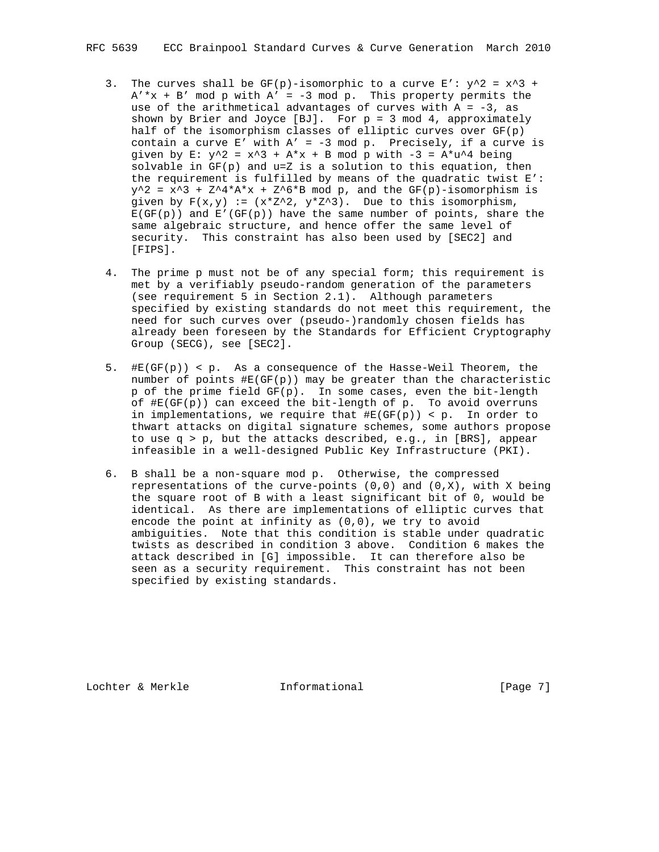- 3. The curves shall be  $GF(p)$ -isomorphic to a curve  $E' : y^2 = x^3 + y^2 = x^3 + y^2$  $A' * x + B'$  mod p with  $A' = -3$  mod p. This property permits the use of the arithmetical advantages of curves with  $A = -3$ , as shown by Brier and Joyce [BJ]. For  $p = 3 \mod 4$ , approximately half of the isomorphism classes of elliptic curves over GF(p) contain a curve E' with  $A' = -3$  mod p. Precisely, if a curve is given by  $E: y^2 = x^3 + A*x + B \mod p$  with  $-3 = A*u^4$  being solvable in  $GF(p)$  and  $u=Z$  is a solution to this equation, then the requirement is fulfilled by means of the quadratic twist E':  $y^2 = x^3 + Z^4*A*x + Z^6*B$  mod p, and the GF(p)-isomorphism is given by  $F(x,y) := (x * z^2, y * z^3)$ . Due to this isomorphism,  $E(GF(p))$  and  $E'(GF(p))$  have the same number of points, share the same algebraic structure, and hence offer the same level of security. This constraint has also been used by [SEC2] and [FIPS].
- 4. The prime p must not be of any special form; this requirement is met by a verifiably pseudo-random generation of the parameters (see requirement 5 in Section 2.1). Although parameters specified by existing standards do not meet this requirement, the need for such curves over (pseudo-)randomly chosen fields has already been foreseen by the Standards for Efficient Cryptography Group (SECG), see [SEC2].
- 5. #E(GF(p)) < p. As a consequence of the Hasse-Weil Theorem, the number of points  $\sharp E(GF(p))$  may be greater than the characteristic p of the prime field GF(p). In some cases, even the bit-length of  $#E(GF(p))$  can exceed the bit-length of p. To avoid overruns in implementations, we require that  $#E(GF(p)) < p$ . In order to thwart attacks on digital signature schemes, some authors propose to use q > p, but the attacks described, e.g., in [BRS], appear infeasible in a well-designed Public Key Infrastructure (PKI).
- 6. B shall be a non-square mod p. Otherwise, the compressed representations of the curve-points  $(0,0)$  and  $(0,X)$ , with X being the square root of B with a least significant bit of 0, would be identical. As there are implementations of elliptic curves that encode the point at infinity as (0,0), we try to avoid ambiguities. Note that this condition is stable under quadratic twists as described in condition 3 above. Condition 6 makes the attack described in [G] impossible. It can therefore also be seen as a security requirement. This constraint has not been specified by existing standards.

Lochter & Merkle **Informational** [Page 7]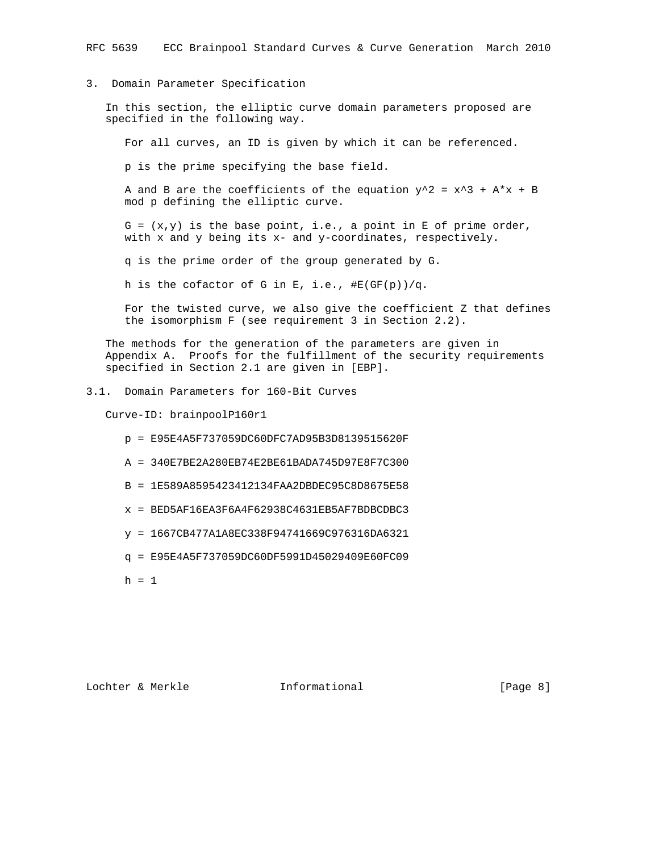## 3. Domain Parameter Specification

 In this section, the elliptic curve domain parameters proposed are specified in the following way.

For all curves, an ID is given by which it can be referenced.

p is the prime specifying the base field.

A and B are the coefficients of the equation  $y^2 = x^3 + A^*x + B$ mod p defining the elliptic curve.

 $G = (x,y)$  is the base point, i.e., a point in E of prime order, with x and y being its x- and y-coordinates, respectively.

q is the prime order of the group generated by G.

h is the cofactor of G in E, i.e.,  $\#E(GF(p))/q$ .

 For the twisted curve, we also give the coefficient Z that defines the isomorphism F (see requirement 3 in Section 2.2).

 The methods for the generation of the parameters are given in Appendix A. Proofs for the fulfillment of the security requirements specified in Section 2.1 are given in [EBP].

3.1. Domain Parameters for 160-Bit Curves

Curve-ID: brainpoolP160r1

- p = E95E4A5F737059DC60DFC7AD95B3D8139515620F
- A = 340E7BE2A280EB74E2BE61BADA745D97E8F7C300
- B = 1E589A8595423412134FAA2DBDEC95C8D8675E58
- $x$  = BED5AF16EA3F6A4F62938C4631EB5AF7BDBCDBC3
- y = 1667CB477A1A8EC338F94741669C976316DA6321
- q = E95E4A5F737059DC60DF5991D45029409E60FC09
- $h = 1$

Lochter & Merkle **Informational** [Page 8]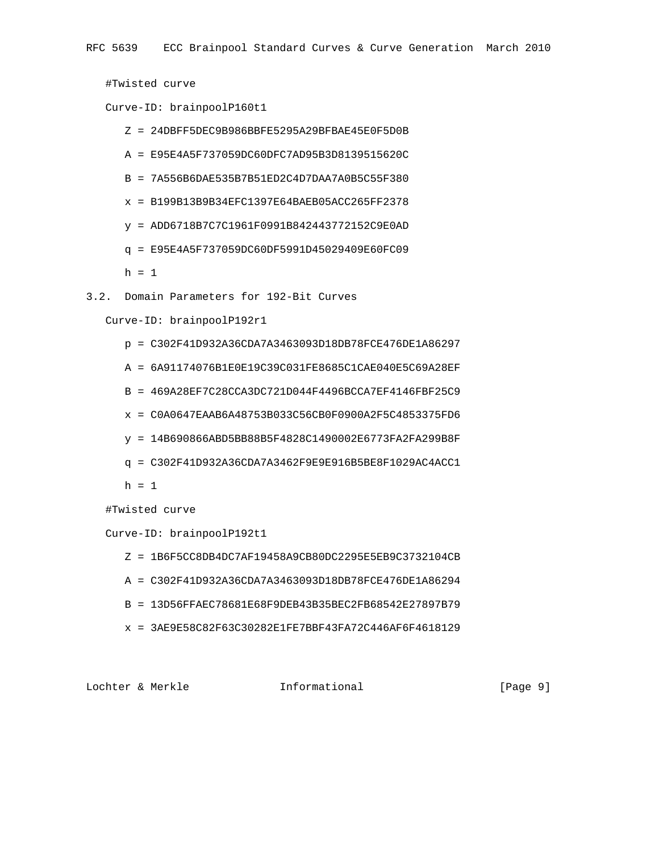#Twisted curve

Curve-ID: brainpoolP160t1

- Z = 24DBFF5DEC9B986BBFE5295A29BFBAE45E0F5D0B
- A = E95E4A5F737059DC60DFC7AD95B3D8139515620C
- B = 7A556B6DAE535B7B51ED2C4D7DAA7A0B5C55F380
- x = B199B13B9B34EFC1397E64BAEB05ACC265FF2378
- y = ADD6718B7C7C1961F0991B842443772152C9E0AD
- q = E95E4A5F737059DC60DF5991D45029409E60FC09
- $h = 1$
- 3.2. Domain Parameters for 192-Bit Curves

Curve-ID: brainpoolP192r1

- p = C302F41D932A36CDA7A3463093D18DB78FCE476DE1A86297
- A = 6A91174076B1E0E19C39C031FE8685C1CAE040E5C69A28EF
- B = 469A28EF7C28CCA3DC721D044F4496BCCA7EF4146FBF25C9
- x = C0A0647EAAB6A48753B033C56CB0F0900A2F5C4853375FD6
- y = 14B690866ABD5BB88B5F4828C1490002E6773FA2FA299B8F
- q = C302F41D932A36CDA7A3462F9E9E916B5BE8F1029AC4ACC1
- $h = 1$

#Twisted curve

Curve-ID: brainpoolP192t1

- Z = 1B6F5CC8DB4DC7AF19458A9CB80DC2295E5EB9C3732104CB
- A = C302F41D932A36CDA7A3463093D18DB78FCE476DE1A86294
- B = 13D56FFAEC78681E68F9DEB43B35BEC2FB68542E27897B79
- x = 3AE9E58C82F63C30282E1FE7BBF43FA72C446AF6F4618129

Lochter & Merkle **Informational** [Page 9]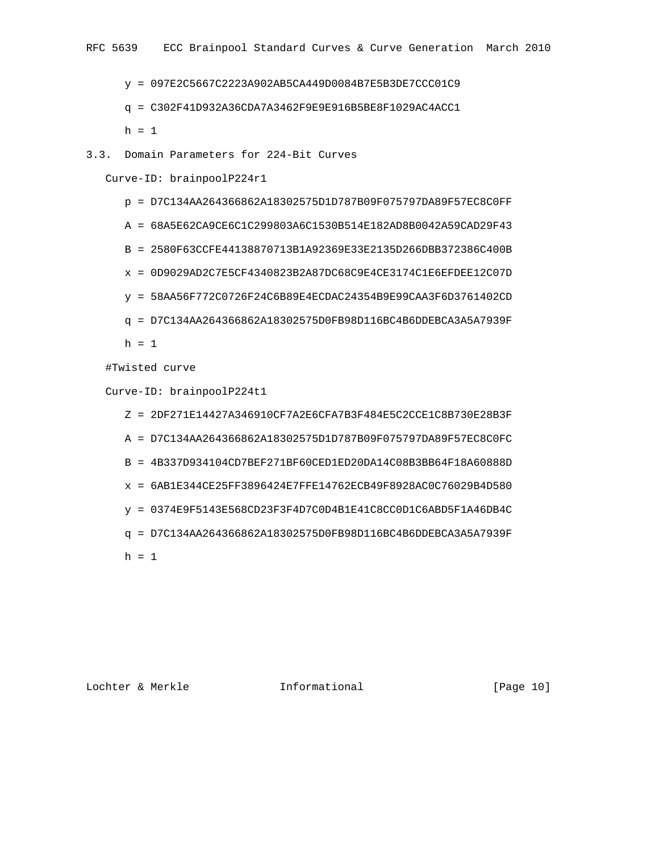y = 097E2C5667C2223A902AB5CA449D0084B7E5B3DE7CCC01C9

#### q = C302F41D932A36CDA7A3462F9E9E916B5BE8F1029AC4ACC1

 $h = 1$ 

3.3. Domain Parameters for 224-Bit Curves

Curve-ID: brainpoolP224r1

- p = D7C134AA264366862A18302575D1D787B09F075797DA89F57EC8C0FF
- A = 68A5E62CA9CE6C1C299803A6C1530B514E182AD8B0042A59CAD29F43
- B = 2580F63CCFE44138870713B1A92369E33E2135D266DBB372386C400B
- x = 0D9029AD2C7E5CF4340823B2A87DC68C9E4CE3174C1E6EFDEE12C07D
- y = 58AA56F772C0726F24C6B89E4ECDAC24354B9E99CAA3F6D3761402CD
- q = D7C134AA264366862A18302575D0FB98D116BC4B6DDEBCA3A5A7939F

 $h = 1$ 

#Twisted curve

Curve-ID: brainpoolP224t1

- Z = 2DF271E14427A346910CF7A2E6CFA7B3F484E5C2CCE1C8B730E28B3F
- A = D7C134AA264366862A18302575D1D787B09F075797DA89F57EC8C0FC
- B = 4B337D934104CD7BEF271BF60CED1ED20DA14C08B3BB64F18A60888D
- x = 6AB1E344CE25FF3896424E7FFE14762ECB49F8928AC0C76029B4D580
- $y = 0374E9F5143E568CD23F3F4D7C0D4B1E41C8CC0D1C6ABD5F1A46DB4C$
- q = D7C134AA264366862A18302575D0FB98D116BC4B6DDEBCA3A5A7939F
- $h = 1$

Lochter & Merkle Informational [Page 10]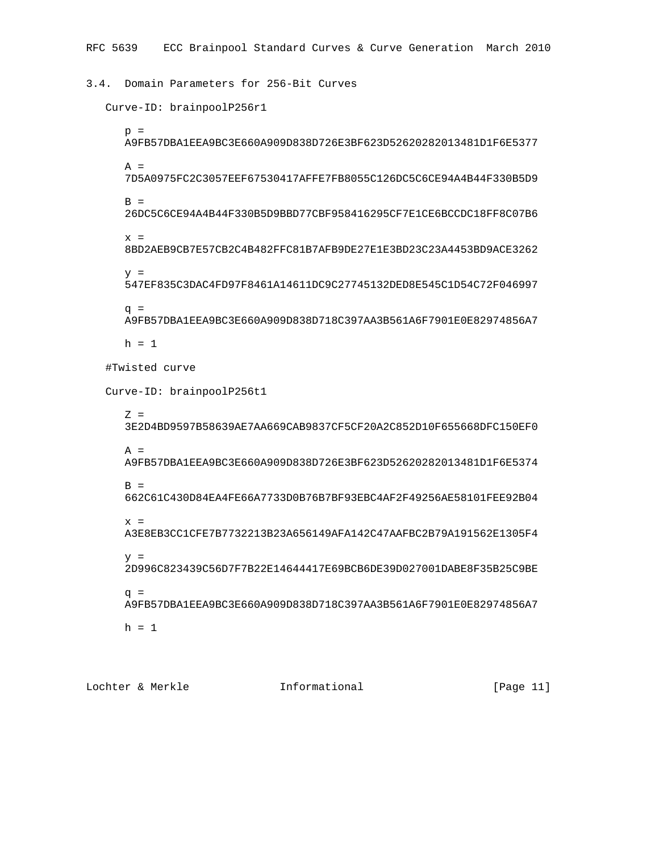3.4. Domain Parameters for 256-Bit Curves

```
 Curve-ID: brainpoolP256r1
 p = A9FB57DBA1EEA9BC3E660A909D838D726E3BF623D52620282013481D1F6E5377
 A = 7D5A0975FC2C3057EEF67530417AFFE7FB8055C126DC5C6CE94A4B44F330B5D9
 B = 26DC5C6CE94A4B44F330B5D9BBD77CBF958416295CF7E1CE6BCCDC18FF8C07B6
  x = 8BD2AEB9CB7E57CB2C4B482FFC81B7AFB9DE27E1E3BD23C23A4453BD9ACE3262
  y = 547EF835C3DAC4FD97F8461A14611DC9C27745132DED8E545C1D54C72F046997
  q = A9FB57DBA1EEA9BC3E660A909D838D718C397AA3B561A6F7901E0E82974856A7
 h = 1 #Twisted curve
Curve-ID: brainpoolP256t1
  Z = 3E2D4BD9597B58639AE7AA669CAB9837CF5CF20A2C852D10F655668DFC150EF0
 A = A9FB57DBA1EEA9BC3E660A909D838D726E3BF623D52620282013481D1F6E5374
 B = 662C61C430D84EA4FE66A7733D0B76B7BF93EBC4AF2F49256AE58101FEE92B04
  x = A3E8EB3CC1CFE7B7732213B23A656149AFA142C47AAFBC2B79A191562E1305F4
  y = 2D996C823439C56D7F7B22E14644417E69BCB6DE39D027001DABE8F35B25C9BE
  q = A9FB57DBA1EEA9BC3E660A909D838D718C397AA3B561A6F7901E0E82974856A7
 h = 1
```
Lochter & Merkle Informational [Page 11]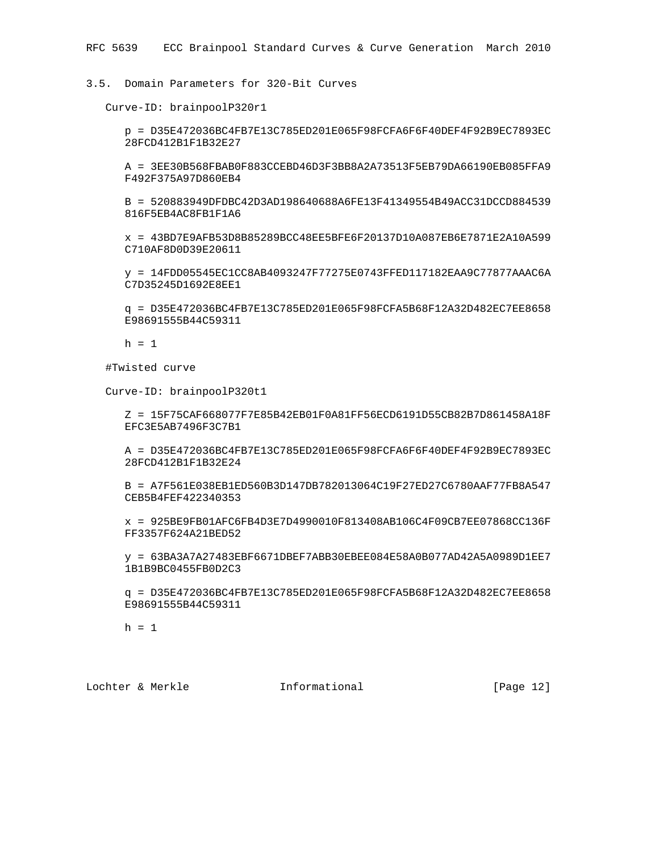3.5. Domain Parameters for 320-Bit Curves

Curve-ID: brainpoolP320r1

 p = D35E472036BC4FB7E13C785ED201E065F98FCFA6F6F40DEF4F92B9EC7893EC 28FCD412B1F1B32E27

 A = 3EE30B568FBAB0F883CCEBD46D3F3BB8A2A73513F5EB79DA66190EB085FFA9 F492F375A97D860EB4

 B = 520883949DFDBC42D3AD198640688A6FE13F41349554B49ACC31DCCD884539 816F5EB4AC8FB1F1A6

 x = 43BD7E9AFB53D8B85289BCC48EE5BFE6F20137D10A087EB6E7871E2A10A599 C710AF8D0D39E20611

 y = 14FDD05545EC1CC8AB4093247F77275E0743FFED117182EAA9C77877AAAC6A C7D35245D1692E8EE1

 q = D35E472036BC4FB7E13C785ED201E065F98FCFA5B68F12A32D482EC7EE8658 E98691555B44C59311

 $h = 1$ 

#Twisted curve

Curve-ID: brainpoolP320t1

 Z = 15F75CAF668077F7E85B42EB01F0A81FF56ECD6191D55CB82B7D861458A18F EFC3E5AB7496F3C7B1

 A = D35E472036BC4FB7E13C785ED201E065F98FCFA6F6F40DEF4F92B9EC7893EC 28FCD412B1F1B32E24

 B = A7F561E038EB1ED560B3D147DB782013064C19F27ED27C6780AAF77FB8A547 CEB5B4FEF422340353

 x = 925BE9FB01AFC6FB4D3E7D4990010F813408AB106C4F09CB7EE07868CC136F FF3357F624A21BED52

 y = 63BA3A7A27483EBF6671DBEF7ABB30EBEE084E58A0B077AD42A5A0989D1EE7 1B1B9BC0455FB0D2C3

 q = D35E472036BC4FB7E13C785ED201E065F98FCFA5B68F12A32D482EC7EE8658 E98691555B44C59311

 $h = 1$ 

Lochter & Merkle Informational [Page 12]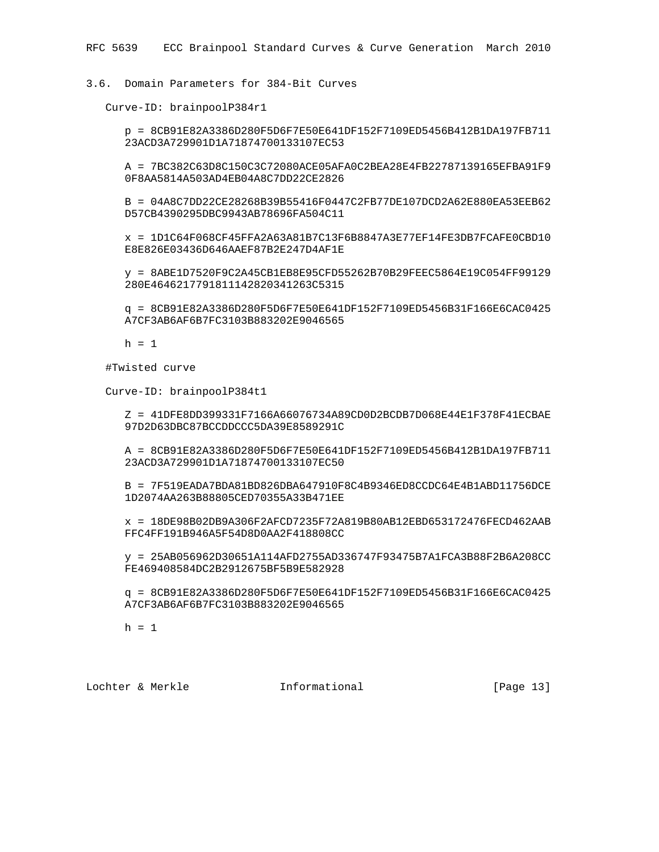# 3.6. Domain Parameters for 384-Bit Curves

Curve-ID: brainpoolP384r1

 p = 8CB91E82A3386D280F5D6F7E50E641DF152F7109ED5456B412B1DA197FB711 23ACD3A729901D1A71874700133107EC53

 A = 7BC382C63D8C150C3C72080ACE05AFA0C2BEA28E4FB22787139165EFBA91F9 0F8AA5814A503AD4EB04A8C7DD22CE2826

 B = 04A8C7DD22CE28268B39B55416F0447C2FB77DE107DCD2A62E880EA53EEB62 D57CB4390295DBC9943AB78696FA504C11

 x = 1D1C64F068CF45FFA2A63A81B7C13F6B8847A3E77EF14FE3DB7FCAFE0CBD10 E8E826E03436D646AAEF87B2E247D4AF1E

 y = 8ABE1D7520F9C2A45CB1EB8E95CFD55262B70B29FEEC5864E19C054FF99129 280E4646217791811142820341263C5315

 q = 8CB91E82A3386D280F5D6F7E50E641DF152F7109ED5456B31F166E6CAC0425 A7CF3AB6AF6B7FC3103B883202E9046565

 $h = 1$ 

#Twisted curve

Curve-ID: brainpoolP384t1

 Z = 41DFE8DD399331F7166A66076734A89CD0D2BCDB7D068E44E1F378F41ECBAE 97D2D63DBC87BCCDDCCC5DA39E8589291C

 A = 8CB91E82A3386D280F5D6F7E50E641DF152F7109ED5456B412B1DA197FB711 23ACD3A729901D1A71874700133107EC50

 B = 7F519EADA7BDA81BD826DBA647910F8C4B9346ED8CCDC64E4B1ABD11756DCE 1D2074AA263B88805CED70355A33B471EE

 x = 18DE98B02DB9A306F2AFCD7235F72A819B80AB12EBD653172476FECD462AAB FFC4FF191B946A5F54D8D0AA2F418808CC

 y = 25AB056962D30651A114AFD2755AD336747F93475B7A1FCA3B88F2B6A208CC FE469408584DC2B2912675BF5B9E582928

 q = 8CB91E82A3386D280F5D6F7E50E641DF152F7109ED5456B31F166E6CAC0425 A7CF3AB6AF6B7FC3103B883202E9046565

 $h = 1$ 

Lochter & Merkle Informational [Page 13]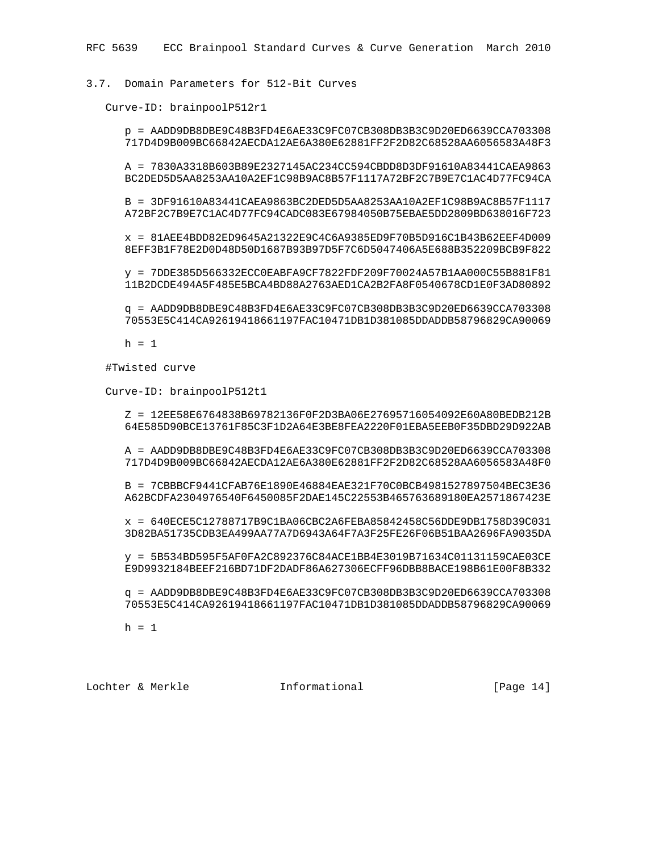## 3.7. Domain Parameters for 512-Bit Curves

Curve-ID: brainpoolP512r1

 p = AADD9DB8DBE9C48B3FD4E6AE33C9FC07CB308DB3B3C9D20ED6639CCA703308 717D4D9B009BC66842AECDA12AE6A380E62881FF2F2D82C68528AA6056583A48F3

 A = 7830A3318B603B89E2327145AC234CC594CBDD8D3DF91610A83441CAEA9863 BC2DED5D5AA8253AA10A2EF1C98B9AC8B57F1117A72BF2C7B9E7C1AC4D77FC94CA

 B = 3DF91610A83441CAEA9863BC2DED5D5AA8253AA10A2EF1C98B9AC8B57F1117 A72BF2C7B9E7C1AC4D77FC94CADC083E67984050B75EBAE5DD2809BD638016F723

 x = 81AEE4BDD82ED9645A21322E9C4C6A9385ED9F70B5D916C1B43B62EEF4D009 8EFF3B1F78E2D0D48D50D1687B93B97D5F7C6D5047406A5E688B352209BCB9F822

 y = 7DDE385D566332ECC0EABFA9CF7822FDF209F70024A57B1AA000C55B881F81 11B2DCDE494A5F485E5BCA4BD88A2763AED1CA2B2FA8F0540678CD1E0F3AD80892

 q = AADD9DB8DBE9C48B3FD4E6AE33C9FC07CB308DB3B3C9D20ED6639CCA703308 70553E5C414CA92619418661197FAC10471DB1D381085DDADDB58796829CA90069

 $h = 1$ 

#Twisted curve

Curve-ID: brainpoolP512t1

 Z = 12EE58E6764838B69782136F0F2D3BA06E27695716054092E60A80BEDB212B 64E585D90BCE13761F85C3F1D2A64E3BE8FEA2220F01EBA5EEB0F35DBD29D922AB

 A = AADD9DB8DBE9C48B3FD4E6AE33C9FC07CB308DB3B3C9D20ED6639CCA703308 717D4D9B009BC66842AECDA12AE6A380E62881FF2F2D82C68528AA6056583A48F0

 B = 7CBBBCF9441CFAB76E1890E46884EAE321F70C0BCB4981527897504BEC3E36 A62BCDFA2304976540F6450085F2DAE145C22553B465763689180EA2571867423E

 x = 640ECE5C12788717B9C1BA06CBC2A6FEBA85842458C56DDE9DB1758D39C031 3D82BA51735CDB3EA499AA77A7D6943A64F7A3F25FE26F06B51BAA2696FA9035DA

 y = 5B534BD595F5AF0FA2C892376C84ACE1BB4E3019B71634C01131159CAE03CE E9D9932184BEEF216BD71DF2DADF86A627306ECFF96DBB8BACE198B61E00F8B332

 q = AADD9DB8DBE9C48B3FD4E6AE33C9FC07CB308DB3B3C9D20ED6639CCA703308 70553E5C414CA92619418661197FAC10471DB1D381085DDADDB58796829CA90069

 $h = 1$ 

Lochter & Merkle Informational [Page 14]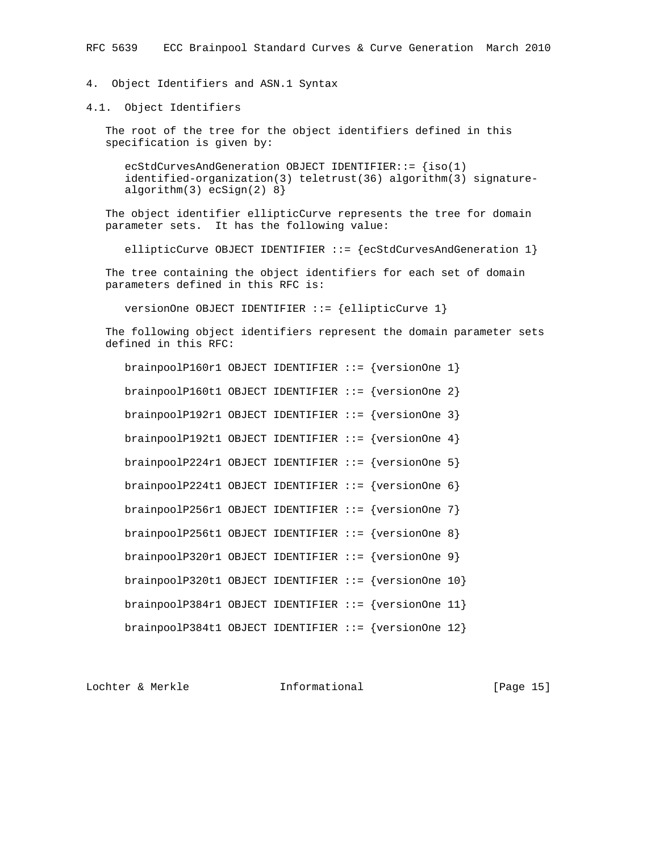4. Object Identifiers and ASN.1 Syntax

4.1. Object Identifiers

 The root of the tree for the object identifiers defined in this specification is given by:

ecStdCurvesAndGeneration OBJECT IDENTIFIER::=  $\{iso(1)\}$  identified-organization(3) teletrust(36) algorithm(3) signature algorithm(3) ecSign(2) 8}

 The object identifier ellipticCurve represents the tree for domain parameter sets. It has the following value:

ellipticCurve OBJECT IDENTIFIER ::= {ecStdCurvesAndGeneration 1}

 The tree containing the object identifiers for each set of domain parameters defined in this RFC is:

versionOne OBJECT IDENTIFIER ::= {ellipticCurve 1}

 The following object identifiers represent the domain parameter sets defined in this RFC:

| brainpoolP160r1 OBJECT IDENTIFIER ::= $\{versionOne 1\}$ |  |  |  |
|----------------------------------------------------------|--|--|--|
| brainpoolP160t1 OBJECT IDENTIFIER ::= {versionOne 2}     |  |  |  |
| brainpoolP192r1 OBJECT IDENTIFIER ::= {versionOne 3}     |  |  |  |
| brainpoolP192t1 OBJECT IDENTIFIER ::= {versionOne 4}     |  |  |  |
| brainpoolP224r1 OBJECT IDENTIFIER ::= $\{versionOne 5\}$ |  |  |  |
| brainpoolP224t1 OBJECT IDENTIFIER $::=$ {versionOne 6}   |  |  |  |
| brainpoolP256r1 OBJECT IDENTIFIER ::= {versionOne 7}     |  |  |  |
| brainpoolP256t1 OBJECT IDENTIFIER ::= $\{versionOne 8\}$ |  |  |  |
| brainpoolP320r1 OBJECT IDENTIFIER ::= $\{versionOne 9\}$ |  |  |  |
| brainpoolP320t1 OBJECT IDENTIFIER ::= {versionOne 10}    |  |  |  |
| brainpoolP384r1 OBJECT IDENTIFIER ::= {versionOne 11}    |  |  |  |
| brainpoolP384t1 OBJECT IDENTIFIER ::= {versionOne 12}    |  |  |  |

Lochter & Merkle Informational [Page 15]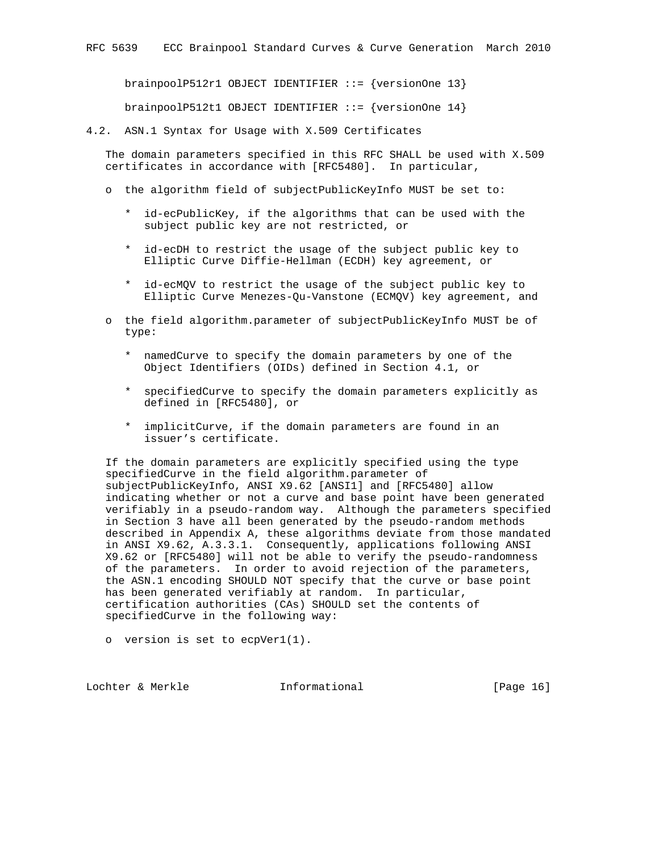brainpoolP512r1 OBJECT IDENTIFIER ::= {versionOne 13}

brainpoolP512t1 OBJECT IDENTIFIER ::= {versionOne 14}

4.2. ASN.1 Syntax for Usage with X.509 Certificates

 The domain parameters specified in this RFC SHALL be used with X.509 certificates in accordance with [RFC5480]. In particular,

- o the algorithm field of subjectPublicKeyInfo MUST be set to:
	- \* id-ecPublicKey, if the algorithms that can be used with the subject public key are not restricted, or
	- \* id-ecDH to restrict the usage of the subject public key to Elliptic Curve Diffie-Hellman (ECDH) key agreement, or
	- \* id-ecMQV to restrict the usage of the subject public key to Elliptic Curve Menezes-Qu-Vanstone (ECMQV) key agreement, and
- o the field algorithm.parameter of subjectPublicKeyInfo MUST be of type:
	- \* namedCurve to specify the domain parameters by one of the Object Identifiers (OIDs) defined in Section 4.1, or
	- \* specifiedCurve to specify the domain parameters explicitly as defined in [RFC5480], or
	- \* implicitCurve, if the domain parameters are found in an issuer's certificate.

 If the domain parameters are explicitly specified using the type specifiedCurve in the field algorithm.parameter of subjectPublicKeyInfo, ANSI X9.62 [ANSI1] and [RFC5480] allow indicating whether or not a curve and base point have been generated verifiably in a pseudo-random way. Although the parameters specified in Section 3 have all been generated by the pseudo-random methods described in Appendix A, these algorithms deviate from those mandated in ANSI X9.62, A.3.3.1. Consequently, applications following ANSI X9.62 or [RFC5480] will not be able to verify the pseudo-randomness of the parameters. In order to avoid rejection of the parameters, the ASN.1 encoding SHOULD NOT specify that the curve or base point has been generated verifiably at random. In particular, certification authorities (CAs) SHOULD set the contents of specifiedCurve in the following way:

o version is set to ecpVer1(1).

Lochter & Merkle Informational [Page 16]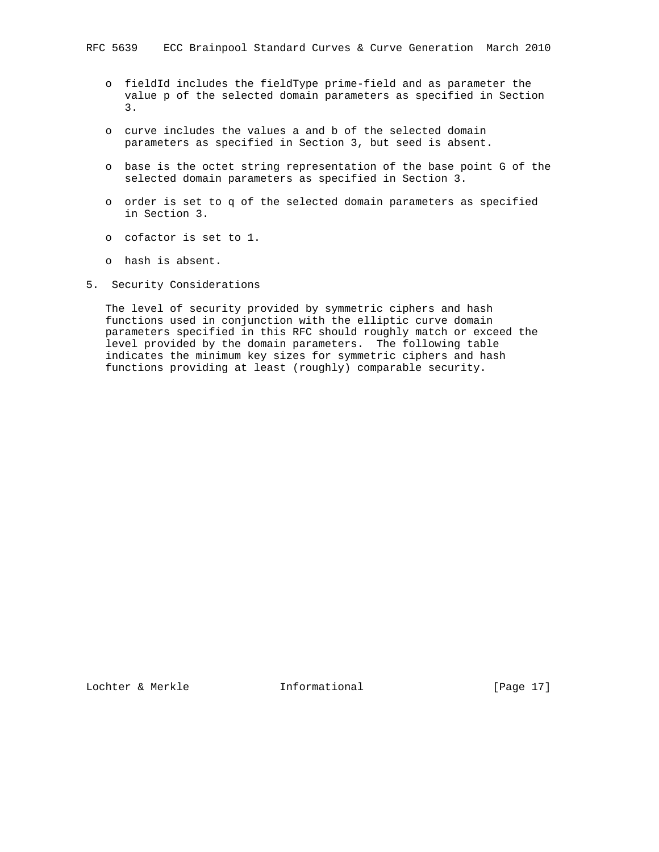- o fieldId includes the fieldType prime-field and as parameter the value p of the selected domain parameters as specified in Section 3.
- o curve includes the values a and b of the selected domain parameters as specified in Section 3, but seed is absent.
- o base is the octet string representation of the base point G of the selected domain parameters as specified in Section 3.
- o order is set to q of the selected domain parameters as specified in Section 3.
- o cofactor is set to 1.
- o hash is absent.
- 5. Security Considerations

 The level of security provided by symmetric ciphers and hash functions used in conjunction with the elliptic curve domain parameters specified in this RFC should roughly match or exceed the level provided by the domain parameters. The following table indicates the minimum key sizes for symmetric ciphers and hash functions providing at least (roughly) comparable security.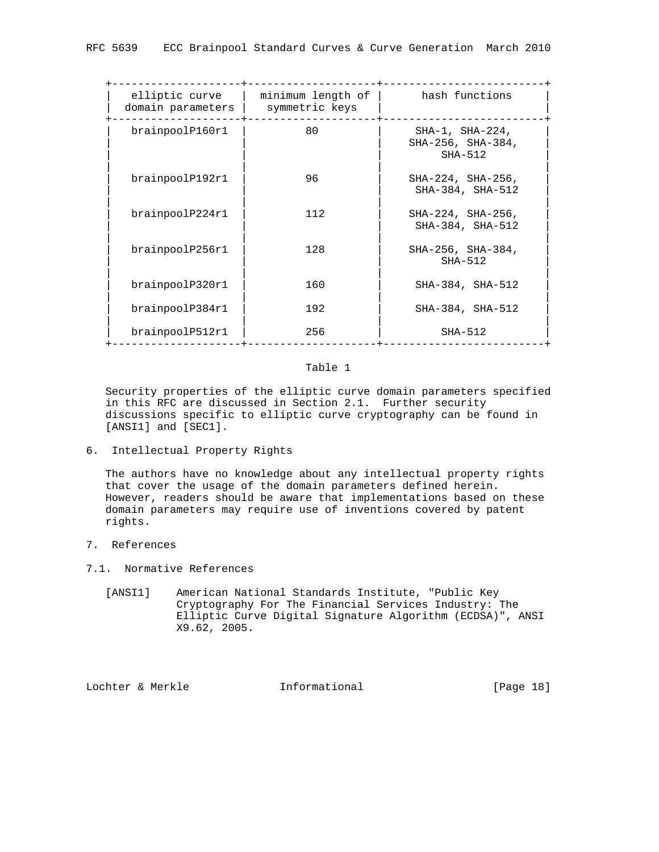| minimum length of<br>symmetric keys | hash functions                                          |
|-------------------------------------|---------------------------------------------------------|
| 80                                  | $SHA-1$ , $SHA-224$ ,<br>SHA-256, SHA-384,<br>$SHA-512$ |
| 96                                  | SHA-224, SHA-256,<br>SHA-384, SHA-512                   |
| 112                                 | SHA-224, SHA-256,<br>SHA-384, SHA-512                   |
| 128                                 | SHA-256, SHA-384,<br>$SHA-512$                          |
| 160                                 | SHA-384, SHA-512                                        |
| 192                                 | SHA-384, SHA-512                                        |
| 256                                 | $SHA-512$                                               |
|                                     |                                                         |

### Table 1

 Security properties of the elliptic curve domain parameters specified in this RFC are discussed in Section 2.1. Further security discussions specific to elliptic curve cryptography can be found in [ANSI1] and [SEC1].

6. Intellectual Property Rights

 The authors have no knowledge about any intellectual property rights that cover the usage of the domain parameters defined herein. However, readers should be aware that implementations based on these domain parameters may require use of inventions covered by patent rights.

- 7. References
- 7.1. Normative References
	- [ANSI1] American National Standards Institute, "Public Key Cryptography For The Financial Services Industry: The Elliptic Curve Digital Signature Algorithm (ECDSA)", ANSI X9.62, 2005.

Lochter & Merkle Informational [Page 18]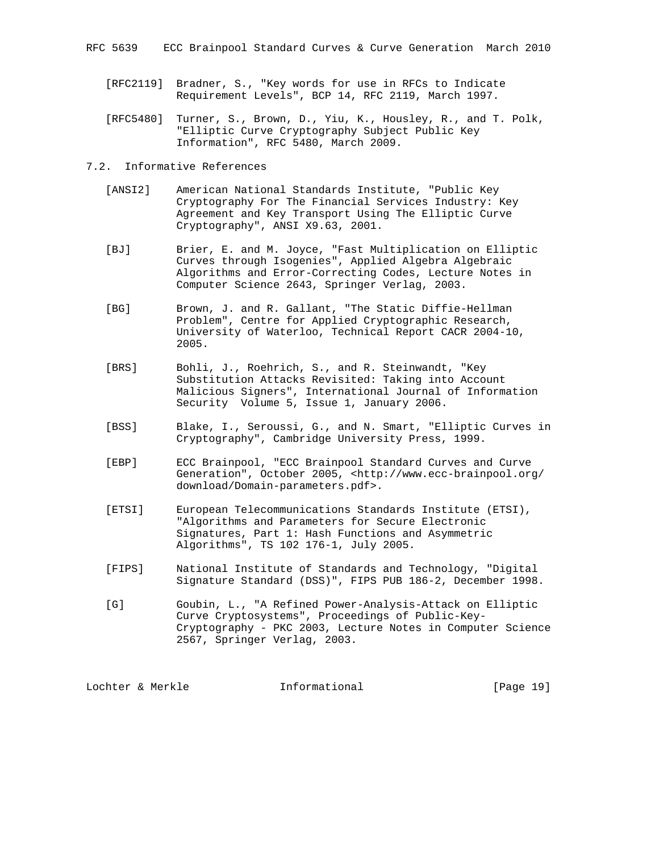- [RFC2119] Bradner, S., "Key words for use in RFCs to Indicate Requirement Levels", BCP 14, RFC 2119, March 1997.
- [RFC5480] Turner, S., Brown, D., Yiu, K., Housley, R., and T. Polk, "Elliptic Curve Cryptography Subject Public Key Information", RFC 5480, March 2009.
- 7.2. Informative References
	- [ANSI2] American National Standards Institute, "Public Key Cryptography For The Financial Services Industry: Key Agreement and Key Transport Using The Elliptic Curve Cryptography", ANSI X9.63, 2001.
	- [BJ] Brier, E. and M. Joyce, "Fast Multiplication on Elliptic Curves through Isogenies", Applied Algebra Algebraic Algorithms and Error-Correcting Codes, Lecture Notes in Computer Science 2643, Springer Verlag, 2003.
	- [BG] Brown, J. and R. Gallant, "The Static Diffie-Hellman Problem", Centre for Applied Cryptographic Research, University of Waterloo, Technical Report CACR 2004-10, 2005.
- [BRS] Bohli, J., Roehrich, S., and R. Steinwandt, "Key Substitution Attacks Revisited: Taking into Account Malicious Signers", International Journal of Information Security Volume 5, Issue 1, January 2006.
	- [BSS] Blake, I., Seroussi, G., and N. Smart, "Elliptic Curves in Cryptography", Cambridge University Press, 1999.
	- [EBP] ECC Brainpool, "ECC Brainpool Standard Curves and Curve Generation", October 2005, <http://www.ecc-brainpool.org/ download/Domain-parameters.pdf>.
	- [ETSI] European Telecommunications Standards Institute (ETSI), "Algorithms and Parameters for Secure Electronic Signatures, Part 1: Hash Functions and Asymmetric Algorithms", TS 102 176-1, July 2005.
	- [FIPS] National Institute of Standards and Technology, "Digital Signature Standard (DSS)", FIPS PUB 186-2, December 1998.
	- [G] Goubin, L., "A Refined Power-Analysis-Attack on Elliptic Curve Cryptosystems", Proceedings of Public-Key- Cryptography - PKC 2003, Lecture Notes in Computer Science 2567, Springer Verlag, 2003.

Lochter & Merkle Informational [Page 19]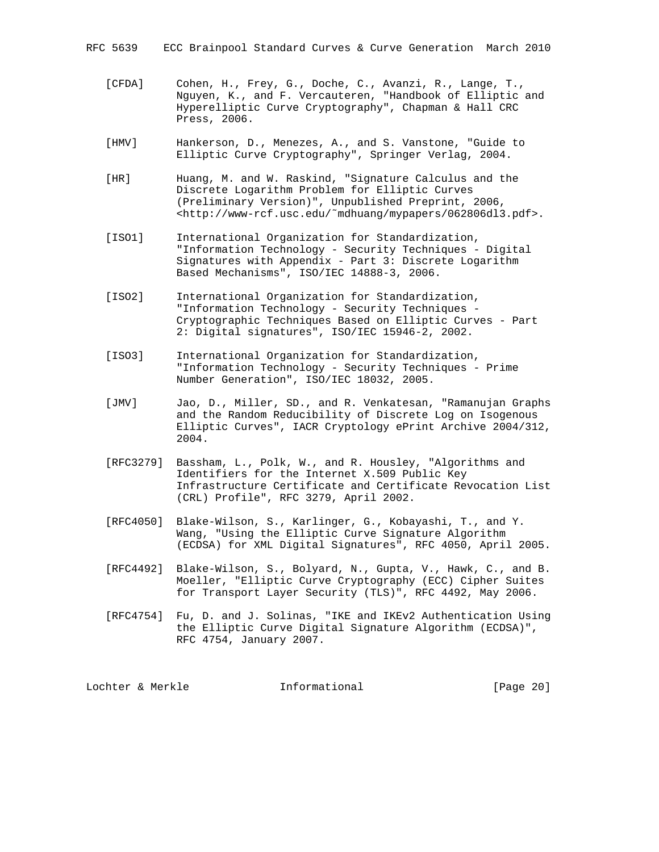RFC 5639 ECC Brainpool Standard Curves & Curve Generation March 2010

- [CFDA] Cohen, H., Frey, G., Doche, C., Avanzi, R., Lange, T., Nguyen, K., and F. Vercauteren, "Handbook of Elliptic and Hyperelliptic Curve Cryptography", Chapman & Hall CRC Press, 2006.
- [HMV] Hankerson, D., Menezes, A., and S. Vanstone, "Guide to Elliptic Curve Cryptography", Springer Verlag, 2004.
- [HR] Huang, M. and W. Raskind, "Signature Calculus and the Discrete Logarithm Problem for Elliptic Curves (Preliminary Version)", Unpublished Preprint, 2006, <http://www-rcf.usc.edu/˜mdhuang/mypapers/062806dl3.pdf>.
- [ISO1] International Organization for Standardization, "Information Technology - Security Techniques - Digital Signatures with Appendix - Part 3: Discrete Logarithm Based Mechanisms", ISO/IEC 14888-3, 2006.
- [ISO2] International Organization for Standardization, "Information Technology - Security Techniques - Cryptographic Techniques Based on Elliptic Curves - Part 2: Digital signatures", ISO/IEC 15946-2, 2002.
- [ISO3] International Organization for Standardization, "Information Technology - Security Techniques - Prime Number Generation", ISO/IEC 18032, 2005.
- [JMV] Jao, D., Miller, SD., and R. Venkatesan, "Ramanujan Graphs and the Random Reducibility of Discrete Log on Isogenous Elliptic Curves", IACR Cryptology ePrint Archive 2004/312, 2004.
- [RFC3279] Bassham, L., Polk, W., and R. Housley, "Algorithms and Identifiers for the Internet X.509 Public Key Infrastructure Certificate and Certificate Revocation List (CRL) Profile", RFC 3279, April 2002.
- [RFC4050] Blake-Wilson, S., Karlinger, G., Kobayashi, T., and Y. Wang, "Using the Elliptic Curve Signature Algorithm (ECDSA) for XML Digital Signatures", RFC 4050, April 2005.
- [RFC4492] Blake-Wilson, S., Bolyard, N., Gupta, V., Hawk, C., and B. Moeller, "Elliptic Curve Cryptography (ECC) Cipher Suites for Transport Layer Security (TLS)", RFC 4492, May 2006.
- [RFC4754] Fu, D. and J. Solinas, "IKE and IKEv2 Authentication Using the Elliptic Curve Digital Signature Algorithm (ECDSA)", RFC 4754, January 2007.

Lochter & Merkle **Informational** [Page 20]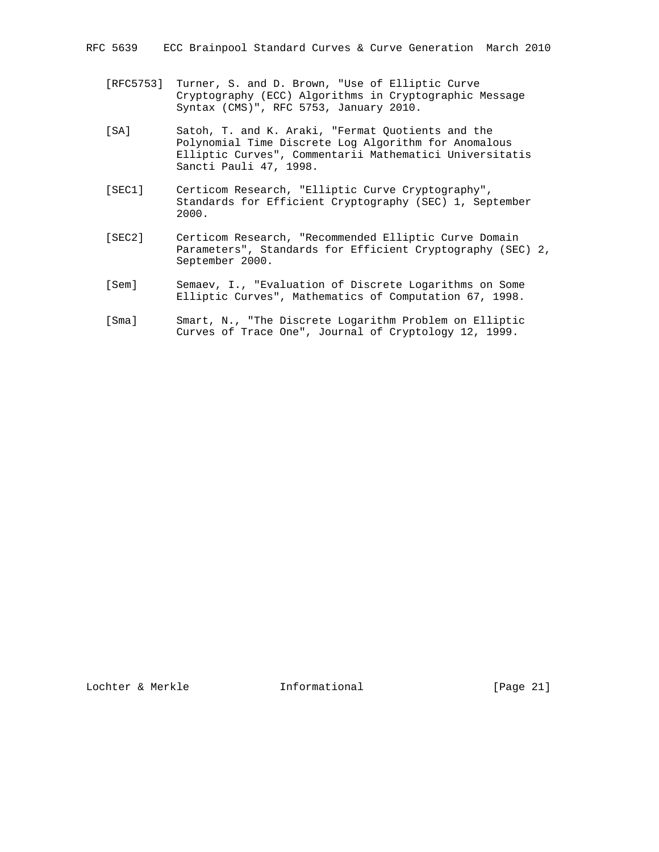- [RFC5753] Turner, S. and D. Brown, "Use of Elliptic Curve Cryptography (ECC) Algorithms in Cryptographic Message Syntax (CMS)", RFC 5753, January 2010.
- [SA] Satoh, T. and K. Araki, "Fermat Quotients and the Polynomial Time Discrete Log Algorithm for Anomalous Elliptic Curves", Commentarii Mathematici Universitatis Sancti Pauli 47, 1998.
- [SEC1] Certicom Research, "Elliptic Curve Cryptography", Standards for Efficient Cryptography (SEC) 1, September 2000.
- [SEC2] Certicom Research, "Recommended Elliptic Curve Domain Parameters", Standards for Efficient Cryptography (SEC) 2, September 2000.
- [Sem] Semaev, I., "Evaluation of Discrete Logarithms on Some Elliptic Curves", Mathematics of Computation 67, 1998.
- [Sma] Smart, N., "The Discrete Logarithm Problem on Elliptic Curves of Trace One", Journal of Cryptology 12, 1999.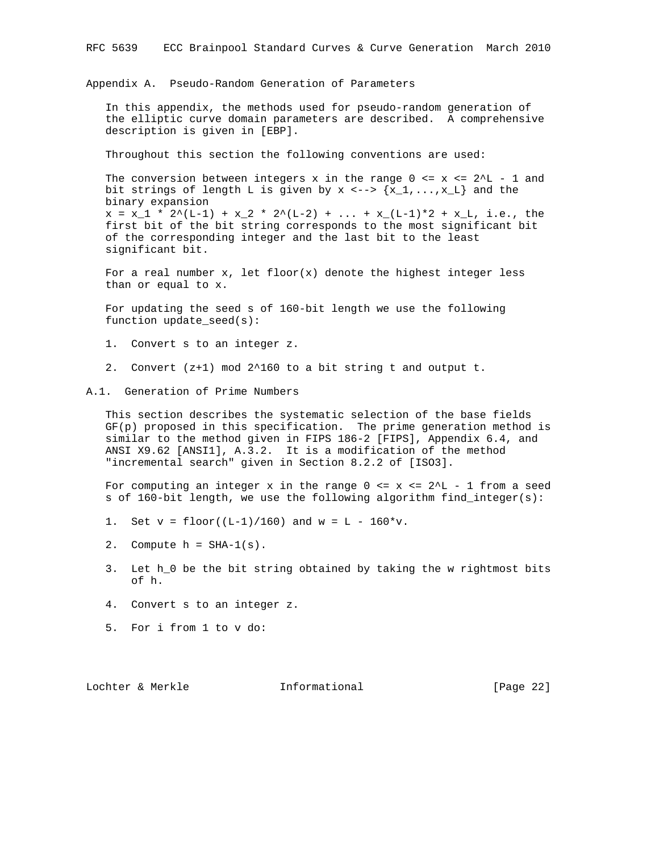Appendix A. Pseudo-Random Generation of Parameters

 In this appendix, the methods used for pseudo-random generation of the elliptic curve domain parameters are described. A comprehensive description is given in [EBP].

Throughout this section the following conventions are used:

The conversion between integers x in the range  $0 \le x \le 2^L - 1$  and bit strings of length L is given by  $x \leftarrow -\frac{1}{x} \{x_1, \ldots, x_L\}$  and the binary expansion  $x = x_1 * 2^{(L-1)} + x_2 * 2^{(L-2)} + ... + x_{(L-1)*2} + x_L$ , i.e., the first bit of the bit string corresponds to the most significant bit of the corresponding integer and the last bit to the least significant bit.

For a real number  $x$ , let floor( $x$ ) denote the highest integer less than or equal to x.

 For updating the seed s of 160-bit length we use the following function update\_seed(s):

1. Convert s to an integer z.

2. Convert (z+1) mod 2^160 to a bit string t and output t.

A.1. Generation of Prime Numbers

 This section describes the systematic selection of the base fields GF(p) proposed in this specification. The prime generation method is similar to the method given in FIPS 186-2 [FIPS], Appendix 6.4, and ANSI X9.62 [ANSI1], A.3.2. It is a modification of the method "incremental search" given in Section 8.2.2 of [ISO3].

For computing an integer x in the range  $0 \le x \le 2^L - 1$  from a seed s of 160-bit length, we use the following algorithm find\_integer(s):

- 1. Set  $v = \text{floor}((L-1)/160)$  and  $w = L 160* v$ .
- 2. Compute  $h = SHA-1(s)$ .
- 3. Let h\_0 be the bit string obtained by taking the w rightmost bits of h.
- 4. Convert s to an integer z.
- 5. For i from 1 to v do:

Lochter & Merkle Informational [Page 22]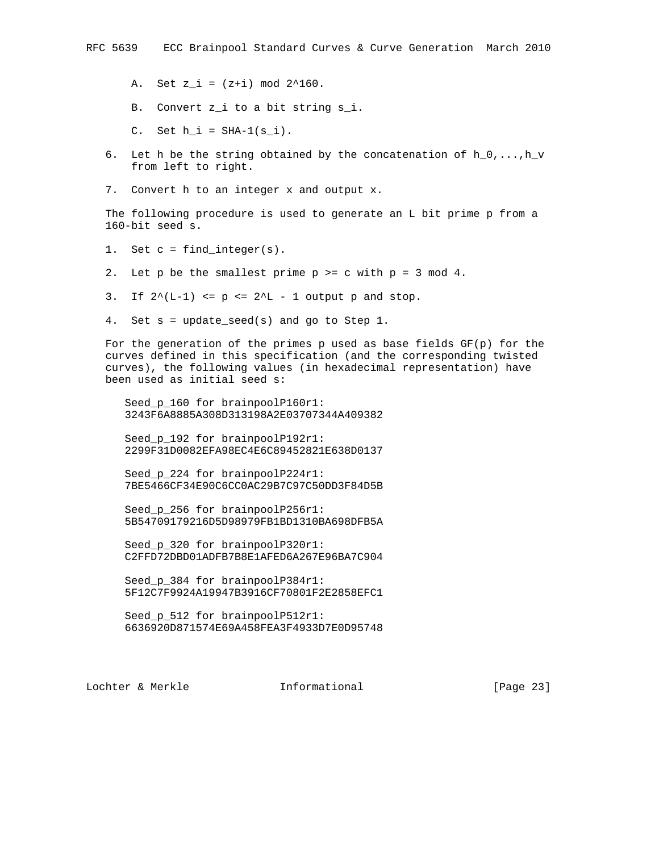A. Set  $z_i = (z+i) \mod 2^160$ .

B. Convert z\_i to a bit string s\_i.

C. Set  $h_i = SHA-1(s_i)$ .

- 6. Let h be the string obtained by the concatenation of  $h_0, \ldots, h_v$ from left to right.
- 7. Convert h to an integer x and output x.

 The following procedure is used to generate an L bit prime p from a 160-bit seed s.

- 1. Set  $c = find_interest(s)$ .
- 2. Let p be the smallest prime p >= c with p = 3 mod 4.

3. If  $2^{\wedge} (L-1)$  <=  $p$  <=  $2^{\wedge} L - 1$  output p and stop.

4. Set s = update\_seed(s) and go to Step 1.

For the generation of the primes p used as base fields  $GF(p)$  for the curves defined in this specification (and the corresponding twisted curves), the following values (in hexadecimal representation) have been used as initial seed s:

Seed p 160 for brainpoolP160r1: 3243F6A8885A308D313198A2E03707344A409382

 Seed\_p\_192 for brainpoolP192r1: 2299F31D0082EFA98EC4E6C89452821E638D0137

Seed p 224 for brainpoolP224r1: 7BE5466CF34E90C6CC0AC29B7C97C50DD3F84D5B

Seed p 256 for brainpoolP256r1: 5B54709179216D5D98979FB1BD1310BA698DFB5A

 Seed\_p\_320 for brainpoolP320r1: C2FFD72DBD01ADFB7B8E1AFED6A267E96BA7C904

 Seed\_p\_384 for brainpoolP384r1: 5F12C7F9924A19947B3916CF70801F2E2858EFC1

Seed p 512 for brainpoolP512r1: 6636920D871574E69A458FEA3F4933D7E0D95748

Lochter & Merkle Informational [Page 23]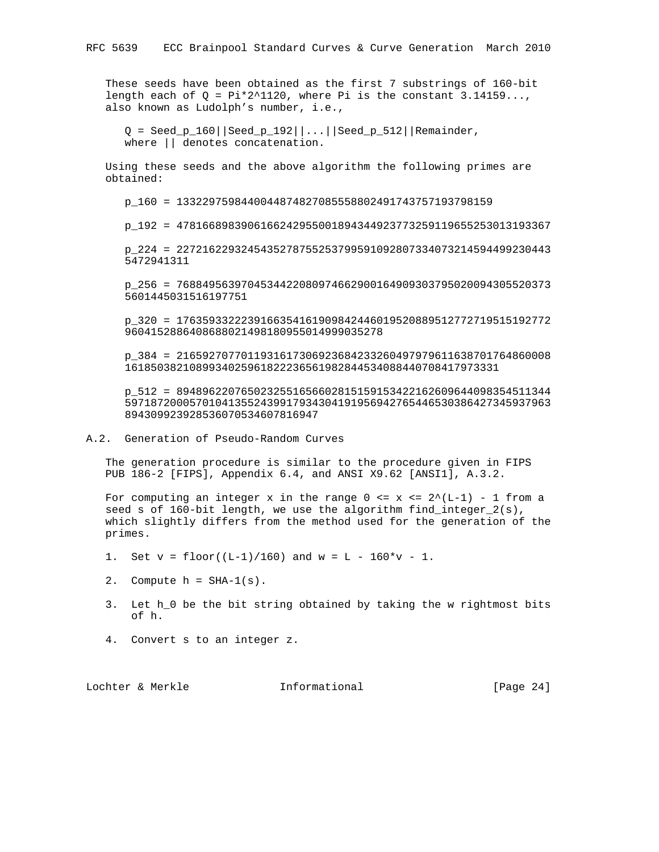These seeds have been obtained as the first 7 substrings of 160-bit length each of  $Q = Pi*2^1120$ , where Pi is the constant 3.14159..., also known as Ludolph's number, i.e.,

 $Q = \text{Seed\_p\_160} | \text{Seed\_p\_192} | ... | \text{Seed\_p\_512} |$  Remainder, where || denotes concatenation.

 Using these seeds and the above algorithm the following primes are obtained:

p\_160 = 1332297598440044874827085558802491743757193798159

p\_192 = 4781668983906166242955001894344923773259119655253013193367

 p\_224 = 2272162293245435278755253799591092807334073214594499230443 5472941311

 p\_256 = 7688495639704534422080974662900164909303795020094305520373 5601445031516197751

 p\_320 = 1763593322239166354161909842446019520889512772719515192772 9604152886408688021498180955014999035278

 p\_384 = 2165927077011931617306923684233260497979611638701764860008 1618503821089934025961822236561982844534088440708417973331

 p\_512 = 8948962207650232551656602815159153422162609644098354511344 597187200057010413552439917934304191956942765446530386427345937963 894309923928536070534607816947

A.2. Generation of Pseudo-Random Curves

 The generation procedure is similar to the procedure given in FIPS PUB 186-2 [FIPS], Appendix 6.4, and ANSI X9.62 [ANSI1], A.3.2.

For computing an integer x in the range  $0 \le x \le 2^(L-1) - 1$  from a seed s of 160-bit length, we use the algorithm find\_integer\_2(s), which slightly differs from the method used for the generation of the primes.

1. Set  $v = \text{floor}((L-1)/160)$  and  $w = L - 160*v - 1$ .

- 2. Compute  $h = SHA-1(s)$ .
- 3. Let h\_0 be the bit string obtained by taking the w rightmost bits of h.
- 4. Convert s to an integer z.

Lochter & Merkle Informational [Page 24]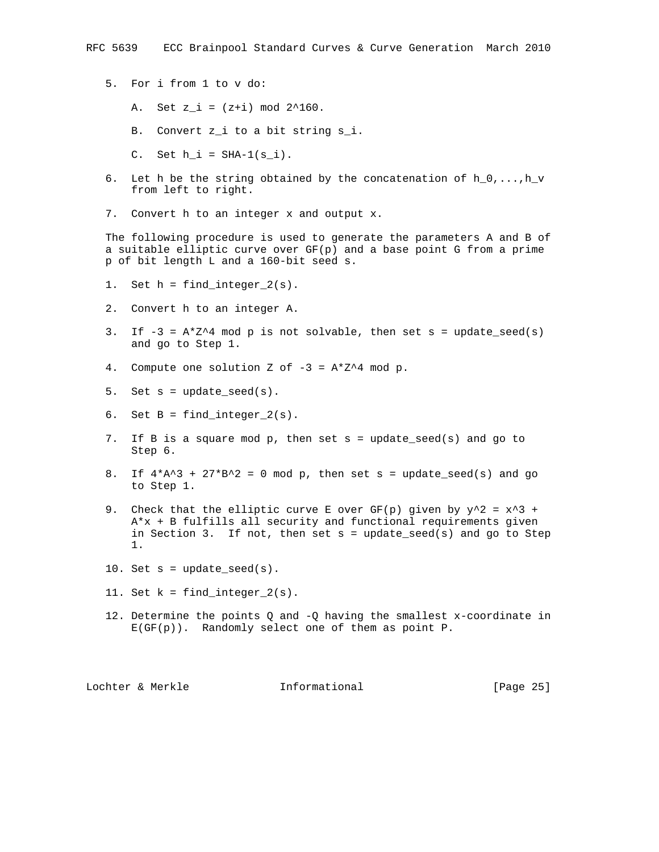- 5. For i from 1 to v do:
	- A. Set  $z_i = (z+i) \mod 2^160$ .
	- B. Convert z\_i to a bit string s\_i.
	- C. Set  $h_i = SHA-1(s_i)$ .
- 6. Let h be the string obtained by the concatenation of  $h_0, \ldots, h_v$ from left to right.
- 7. Convert h to an integer x and output x.

 The following procedure is used to generate the parameters A and B of a suitable elliptic curve over GF(p) and a base point G from a prime p of bit length L and a 160-bit seed s.

- 1. Set  $h = \text{find}_integer_2(s)$ .
- 2. Convert h to an integer A.
- 3. If  $-3 = A^*Z^4$  mod p is not solvable, then set s = update\_seed(s) and go to Step 1.
- 4. Compute one solution Z of  $-3 = A*Z^4$  mod p.
- 5. Set  $s = update\_seed(s)$ .
- 6. Set  $B = find\_integer_2(s)$ .
- 7. If B is a square mod p, then set s = update\_seed(s) and go to Step 6.
- 8. If  $4*A^3 + 27*B^2 = 0$  mod p, then set s = update\_seed(s) and go to Step 1.
- 9. Check that the elliptic curve E over GF(p) given by  $y^2 = x^3 + y^2 = 0$  A\*x + B fulfills all security and functional requirements given in Section 3. If not, then set  $s = update\_seed(s)$  and go to Step 1.
- 10. Set  $s = update\_seed(s)$ .
- 11. Set  $k = find_interest_2(s)$ .
- 12. Determine the points Q and -Q having the smallest x-coordinate in E(GF(p)). Randomly select one of them as point P.

Lochter & Merkle Informational [Page 25]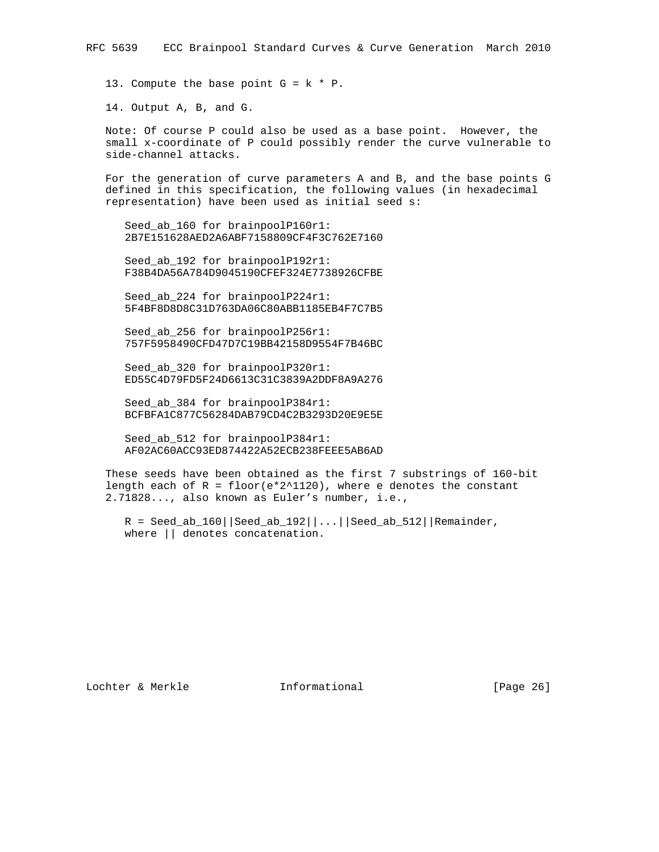13. Compute the base point  $G = k * P$ .

14. Output A, B, and G.

 Note: Of course P could also be used as a base point. However, the small x-coordinate of P could possibly render the curve vulnerable to side-channel attacks.

 For the generation of curve parameters A and B, and the base points G defined in this specification, the following values (in hexadecimal representation) have been used as initial seed s:

Seed ab 160 for brainpoolP160r1: 2B7E151628AED2A6ABF7158809CF4F3C762E7160

Seed ab 192 for brainpoolP192r1: F38B4DA56A784D9045190CFEF324E7738926CFBE

 Seed\_ab\_224 for brainpoolP224r1: 5F4BF8D8D8C31D763DA06C80ABB1185EB4F7C7B5

Seed ab 256 for brainpoolP256r1: 757F5958490CFD47D7C19BB42158D9554F7B46BC

 Seed\_ab\_320 for brainpoolP320r1: ED55C4D79FD5F24D6613C31C3839A2DDF8A9A276

Seed ab 384 for brainpoolP384r1: BCFBFA1C877C56284DAB79CD4C2B3293D20E9E5E

 Seed\_ab\_512 for brainpoolP384r1: AF02AC60ACC93ED874422A52ECB238FEEE5AB6AD

 These seeds have been obtained as the first 7 substrings of 160-bit length each of  $R = \text{floor}(e^{\star 2^{\wedge}1120})$ , where e denotes the constant 2.71828..., also known as Euler's number, i.e.,

 $R = \text{Seed}_ab_160 \mid \text{seed}_ab_192 \mid \ldots \mid \text{seed}_ab_512 \mid \text{Remainder},$ where || denotes concatenation.

Lochter & Merkle **Informational** [Page 26]